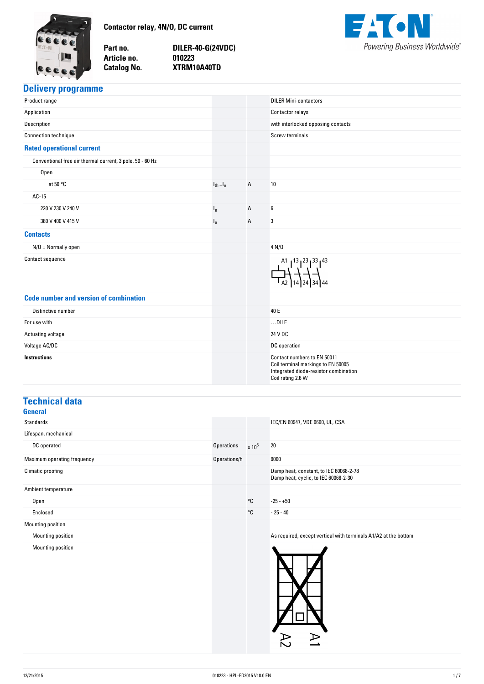<span id="page-0-0"></span>

Part no. Article no. **Catalog No.** 

**no. DILER-40-G(24VDC) no. 010223 No. XTRM10A40TD**



### **Delivery-programme**

| Product range                                             |                |              | <b>DILER Mini-contactors</b>                                                                                                    |
|-----------------------------------------------------------|----------------|--------------|---------------------------------------------------------------------------------------------------------------------------------|
| Application                                               |                |              | Contactor relays                                                                                                                |
| Description                                               |                |              | with interlocked opposing contacts                                                                                              |
| <b>Connection technique</b>                               |                |              | <b>Screw terminals</b>                                                                                                          |
| <b>Rated operational current</b>                          |                |              |                                                                                                                                 |
| Conventional free air thermal current, 3 pole, 50 - 60 Hz |                |              |                                                                                                                                 |
| Open                                                      |                |              |                                                                                                                                 |
| at 50 °C                                                  | $I_{th} = I_e$ | A            | 10                                                                                                                              |
| AC-15                                                     |                |              |                                                                                                                                 |
| 220 V 230 V 240 V                                         | $I_{e}$        | $\mathsf{A}$ | $\boldsymbol{6}$                                                                                                                |
| 380 V 400 V 415 V                                         | $l_{e}$        | Α            | 3                                                                                                                               |
| <b>Contacts</b>                                           |                |              |                                                                                                                                 |
| $N/O = Normally open$                                     |                |              | 4 N/D                                                                                                                           |
| Contact sequence                                          |                |              | A1 13 23 133 143<br>-144                                                                                                        |
| <b>Code number and version of combination</b>             |                |              |                                                                                                                                 |
| Distinctive number                                        |                |              | 40 E                                                                                                                            |
| For use with                                              |                |              | $$ DILE                                                                                                                         |
| Actuating voltage                                         |                |              | 24 V DC                                                                                                                         |
| Voltage AC/DC                                             |                |              | DC operation                                                                                                                    |
| <b>Instructions</b>                                       |                |              | Contact numbers to EN 50011<br>Coil terminal markings to EN 50005<br>Integrated diode-resistor combination<br>Coil rating 2.6 W |

#### **Technical data General**

| uenerar                     |                   |               |                                                                                |
|-----------------------------|-------------------|---------------|--------------------------------------------------------------------------------|
| Standards                   |                   |               | IEC/EN 60947, VDE 0660, UL, CSA                                                |
| Lifespan, mechanical        |                   |               |                                                                                |
| DC operated                 | <b>Operations</b> | $\times 10^6$ | 20                                                                             |
| Maximum operating frequency | Operations/h      |               | 9000                                                                           |
| Climatic proofing           |                   |               | Damp heat, constant, to IEC 60068-2-78<br>Damp heat, cyclic, to IEC 60068-2-30 |
| Ambient temperature         |                   |               |                                                                                |
| Open                        |                   | $^{\circ}$ C  | $-25 - +50$                                                                    |
| Enclosed                    |                   | $^{\circ}$ C  | $-25 - 40$                                                                     |
| Mounting position           |                   |               |                                                                                |
| Mounting position           |                   |               | As required, except vertical with terminals A1/A2 at the bottom                |
| Mounting position           |                   |               |                                                                                |

 $\overline{A}$ 

 $\Delta$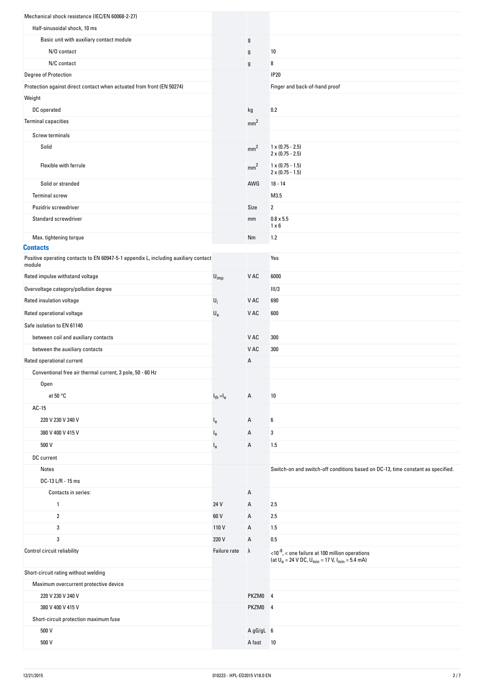| Mechanical shock resistance (IEC/EN 60068-2-27)                                               |                           |                 |                                                                                                                                |
|-----------------------------------------------------------------------------------------------|---------------------------|-----------------|--------------------------------------------------------------------------------------------------------------------------------|
| Half-sinusoidal shock, 10 ms                                                                  |                           |                 |                                                                                                                                |
| Basic unit with auxiliary contact module                                                      |                           | g               |                                                                                                                                |
| N/O contact                                                                                   |                           | g               | 10                                                                                                                             |
| N/C contact                                                                                   |                           | g               | 8                                                                                                                              |
| Degree of Protection                                                                          |                           |                 | <b>IP20</b>                                                                                                                    |
| Protection against direct contact when actuated from front (EN 50274)                         |                           |                 | Finger and back-of-hand proof                                                                                                  |
| Weight                                                                                        |                           |                 |                                                                                                                                |
| DC operated                                                                                   |                           | kg              | 0.2                                                                                                                            |
| <b>Terminal capacities</b>                                                                    |                           | mm <sup>2</sup> |                                                                                                                                |
| Screw terminals                                                                               |                           |                 |                                                                                                                                |
| Solid                                                                                         |                           | mm <sup>2</sup> | $1 \times (0.75 - 2.5)$<br>$2 \times (0.75 - 2.5)$                                                                             |
| Flexible with ferrule                                                                         |                           | mm <sup>2</sup> | $1 \times (0.75 - 1.5)$<br>$2 \times (0.75 - 1.5)$                                                                             |
| Solid or stranded                                                                             |                           | AWG             | $18 - 14$                                                                                                                      |
| <b>Terminal screw</b>                                                                         |                           |                 | M3.5                                                                                                                           |
| Pozidriv screwdriver                                                                          |                           | Size            | $\overline{\mathbf{2}}$                                                                                                        |
| Standard screwdriver                                                                          |                           | mm              | $0.8 \times 5.5$<br>$1 \times 6$                                                                                               |
| Max. tightening torque                                                                        |                           | Nm              | 1.2                                                                                                                            |
| <b>Contacts</b>                                                                               |                           |                 |                                                                                                                                |
| Positive operating contacts to EN 60947-5-1 appendix L, including auxiliary contact<br>module |                           |                 | Yes                                                                                                                            |
| Rated impulse withstand voltage                                                               | $U_{imp}$                 | V AC            | 6000                                                                                                                           |
| Overvoltage category/pollution degree                                                         |                           |                 | III/3                                                                                                                          |
| Rated insulation voltage                                                                      | $U_i$                     | V AC            | 690                                                                                                                            |
| Rated operational voltage                                                                     | $\mathsf{U}_{\mathsf{e}}$ | V AC            | 600                                                                                                                            |
| Safe isolation to EN 61140                                                                    |                           |                 |                                                                                                                                |
| between coil and auxiliary contacts                                                           |                           | V AC            | 300                                                                                                                            |
| between the auxiliary contacts                                                                |                           | V AC            | 300                                                                                                                            |
| Rated operational current                                                                     |                           | Α               |                                                                                                                                |
| Conventional free air thermal current, 3 pole, 50 - 60 Hz                                     |                           |                 |                                                                                                                                |
| Open                                                                                          |                           |                 |                                                                                                                                |
| at $50 °C$                                                                                    | $I_{th} = I_e$            | Α               | 10                                                                                                                             |
| AC-15                                                                                         |                           |                 |                                                                                                                                |
| 220 V 230 V 240 V                                                                             | $I_{e}$                   | Α               | 6                                                                                                                              |
| 380 V 400 V 415 V                                                                             | $l_e$                     | А               | 3                                                                                                                              |
| 500 V                                                                                         | $l_e$                     | Α               | 1.5                                                                                                                            |
| DC current                                                                                    |                           |                 |                                                                                                                                |
| Notes                                                                                         |                           |                 | Switch-on and switch-off conditions based on DC-13, time constant as specified.                                                |
| DC-13 L/R - 15 ms                                                                             |                           |                 |                                                                                                                                |
| Contacts in series:                                                                           |                           | Α               |                                                                                                                                |
| $\mathbf{1}$                                                                                  | 24 V                      | Α               | 2.5                                                                                                                            |
| $\overline{2}$                                                                                | 60 V                      | Α               | 2.5                                                                                                                            |
| 3                                                                                             | 110V                      | А               | 1.5                                                                                                                            |
| 3                                                                                             | 220 V                     | Α               | $0.5\,$                                                                                                                        |
| Control circuit reliability                                                                   | Failure rate              | λ               | $<$ 10 <sup>-8</sup> , $<$ one failure at 100 million operations<br>(at $U_e = 24$ V DC, $U_{min} = 17$ V, $I_{min} = 5.4$ mA) |
| Short-circuit rating without welding                                                          |                           |                 |                                                                                                                                |
| Maximum overcurrent protective device                                                         |                           |                 |                                                                                                                                |
| 220 V 230 V 240 V                                                                             |                           | PKZM0 4         |                                                                                                                                |
| 380 V 400 V 415 V                                                                             |                           | PKZM0 4         |                                                                                                                                |
| Short-circuit protection maximum fuse                                                         |                           |                 |                                                                                                                                |
| 500 V                                                                                         |                           | A gG/gL 6       |                                                                                                                                |
| 500 V                                                                                         |                           | A fast          | 10                                                                                                                             |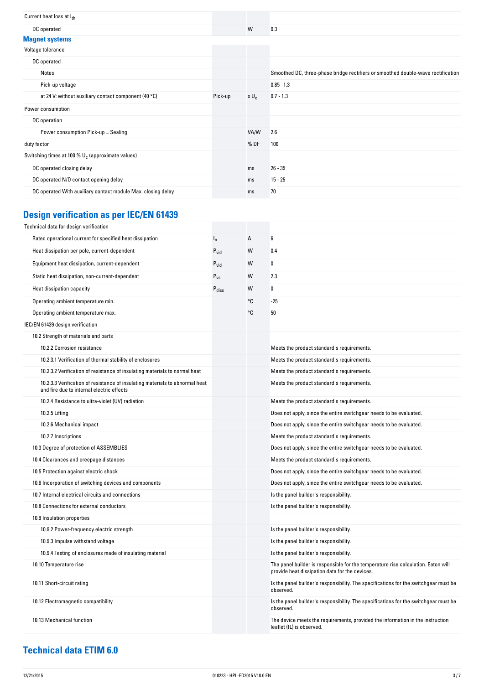|         | W       | 0.3                                                                              |
|---------|---------|----------------------------------------------------------------------------------|
|         |         |                                                                                  |
|         |         |                                                                                  |
|         |         |                                                                                  |
|         |         | Smoothed DC, three-phase bridge rectifiers or smoothed double-wave rectification |
|         |         | $0.85$ 1.3                                                                       |
| Pick-up | $x U_c$ | $0.7 - 1.3$                                                                      |
|         |         |                                                                                  |
|         |         |                                                                                  |
|         | VA/W    | 2.6                                                                              |
|         | %DF     | 100                                                                              |
|         |         |                                                                                  |
|         | ms      | $26 - 35$                                                                        |
|         | ms      | $15 - 25$                                                                        |
|         | ms      | 70                                                                               |
|         |         |                                                                                  |

## **Design-verification-as-per-IEC/EN-61439**

| Technical data for design verification                                                                                    |                   |    |                                                                                                                                     |
|---------------------------------------------------------------------------------------------------------------------------|-------------------|----|-------------------------------------------------------------------------------------------------------------------------------------|
| Rated operational current for specified heat dissipation                                                                  | $I_n$             | A  | 6                                                                                                                                   |
| Heat dissipation per pole, current-dependent                                                                              | $P_{vid}$         | W  | 0.4                                                                                                                                 |
| Equipment heat dissipation, current-dependent                                                                             | $P_{vid}$         | W  | 0                                                                                                                                   |
| Static heat dissipation, non-current-dependent                                                                            | $P_{VS}$          | W  | 2.3                                                                                                                                 |
| Heat dissipation capacity                                                                                                 | $P_{\text{diss}}$ | W  | 0                                                                                                                                   |
| Operating ambient temperature min.                                                                                        |                   | °C | $-25$                                                                                                                               |
| Operating ambient temperature max.                                                                                        |                   | °C | 50                                                                                                                                  |
| IEC/EN 61439 design verification                                                                                          |                   |    |                                                                                                                                     |
| 10.2 Strength of materials and parts                                                                                      |                   |    |                                                                                                                                     |
| 10.2.2 Corrosion resistance                                                                                               |                   |    | Meets the product standard's requirements.                                                                                          |
| 10.2.3.1 Verification of thermal stability of enclosures                                                                  |                   |    | Meets the product standard's requirements.                                                                                          |
| 10.2.3.2 Verification of resistance of insulating materials to normal heat                                                |                   |    | Meets the product standard's requirements.                                                                                          |
| 10.2.3.3 Verification of resistance of insulating materials to abnormal heat<br>and fire due to internal electric effects |                   |    | Meets the product standard's requirements.                                                                                          |
| 10.2.4 Resistance to ultra-violet (UV) radiation                                                                          |                   |    | Meets the product standard's requirements.                                                                                          |
| 10.2.5 Lifting                                                                                                            |                   |    | Does not apply, since the entire switchgear needs to be evaluated.                                                                  |
| 10.2.6 Mechanical impact                                                                                                  |                   |    | Does not apply, since the entire switchgear needs to be evaluated.                                                                  |
| 10.2.7 Inscriptions                                                                                                       |                   |    | Meets the product standard's requirements.                                                                                          |
| 10.3 Degree of protection of ASSEMBLIES                                                                                   |                   |    | Does not apply, since the entire switchgear needs to be evaluated.                                                                  |
| 10.4 Clearances and creepage distances                                                                                    |                   |    | Meets the product standard's requirements.                                                                                          |
| 10.5 Protection against electric shock                                                                                    |                   |    | Does not apply, since the entire switchgear needs to be evaluated.                                                                  |
| 10.6 Incorporation of switching devices and components                                                                    |                   |    | Does not apply, since the entire switchgear needs to be evaluated.                                                                  |
| 10.7 Internal electrical circuits and connections                                                                         |                   |    | Is the panel builder's responsibility.                                                                                              |
| 10.8 Connections for external conductors                                                                                  |                   |    | Is the panel builder's responsibility.                                                                                              |
| 10.9 Insulation properties                                                                                                |                   |    |                                                                                                                                     |
| 10.9.2 Power-frequency electric strength                                                                                  |                   |    | Is the panel builder's responsibility.                                                                                              |
| 10.9.3 Impulse withstand voltage                                                                                          |                   |    | Is the panel builder's responsibility.                                                                                              |
| 10.9.4 Testing of enclosures made of insulating material                                                                  |                   |    | Is the panel builder's responsibility.                                                                                              |
| 10.10 Temperature rise                                                                                                    |                   |    | The panel builder is responsible for the temperature rise calculation. Eaton will<br>provide heat dissipation data for the devices. |
| 10.11 Short-circuit rating                                                                                                |                   |    | Is the panel builder's responsibility. The specifications for the switchgear must be<br>observed.                                   |
| 10.12 Electromagnetic compatibility                                                                                       |                   |    | Is the panel builder's responsibility. The specifications for the switchgear must be<br>observed.                                   |
| 10.13 Mechanical function                                                                                                 |                   |    | The device meets the requirements, provided the information in the instruction<br>leaflet (IL) is observed.                         |

### **Technical-data-ETIM-6.0**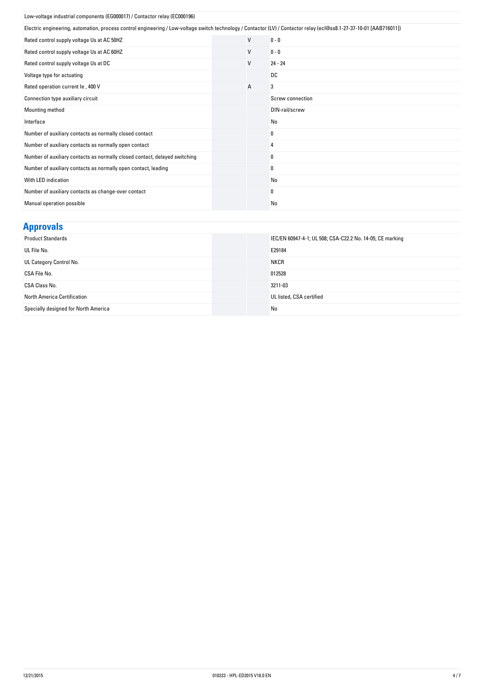| Low-voltage industrial components (EG000017) / Contactor relay (EC000196)                                                                                            |  |   |                  |
|----------------------------------------------------------------------------------------------------------------------------------------------------------------------|--|---|------------------|
| Electric engineering, automation, process control engineering / Low-voltage switch technology / Contactor (LV) / Contactor relay (ecl@ss8.1-27-37-10-01 [AAB716011]) |  |   |                  |
| Rated control supply voltage Us at AC 50HZ                                                                                                                           |  | V | $0 - 0$          |
| Rated control supply voltage Us at AC 60HZ                                                                                                                           |  | V | $0 - 0$          |
| Rated control supply voltage Us at DC                                                                                                                                |  | V | $24 - 24$        |
| Voltage type for actuating                                                                                                                                           |  |   | DC               |
| Rated operation current le, 400 V                                                                                                                                    |  | А | 3                |
| Connection type auxiliary circuit                                                                                                                                    |  |   | Screw connection |
| Mounting method                                                                                                                                                      |  |   | DIN-rail/screw   |
| Interface                                                                                                                                                            |  |   | No               |
| Number of auxiliary contacts as normally closed contact                                                                                                              |  |   | 0                |
| Number of auxiliary contacts as normally open contact                                                                                                                |  |   | 4                |
| Number of auxiliary contacts as normally closed contact, delayed switching                                                                                           |  |   | 0                |
| Number of auxiliary contacts as normally open contact, leading                                                                                                       |  |   | 0                |
| With LED indication                                                                                                                                                  |  |   | <b>No</b>        |
| Number of auxiliary contacts as change-over contact                                                                                                                  |  |   | 0                |
| Manual operation possible                                                                                                                                            |  |   | No               |

| <b>Approvals</b>                     |                                                           |
|--------------------------------------|-----------------------------------------------------------|
| <b>Product Standards</b>             | IEC/EN 60947-4-1; UL 508; CSA-C22.2 No. 14-05; CE marking |
| UL File No.                          | E29184                                                    |
| UL Category Control No.              | <b>NKCR</b>                                               |
| CSA File No.                         | 012528                                                    |
| CSA Class No.                        | 3211-03                                                   |
| North America Certification          | UL listed, CSA certified                                  |
| Specially designed for North America | No                                                        |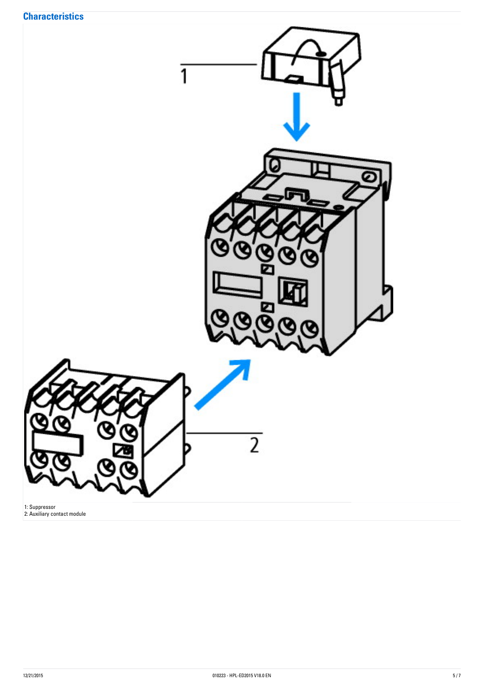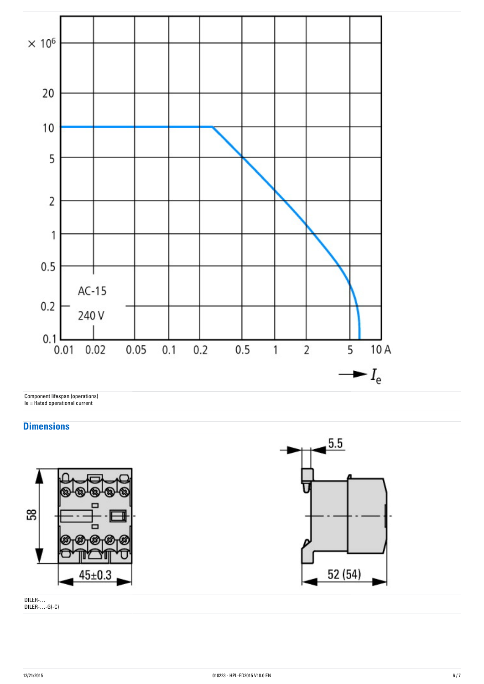

#### **Dimensions**